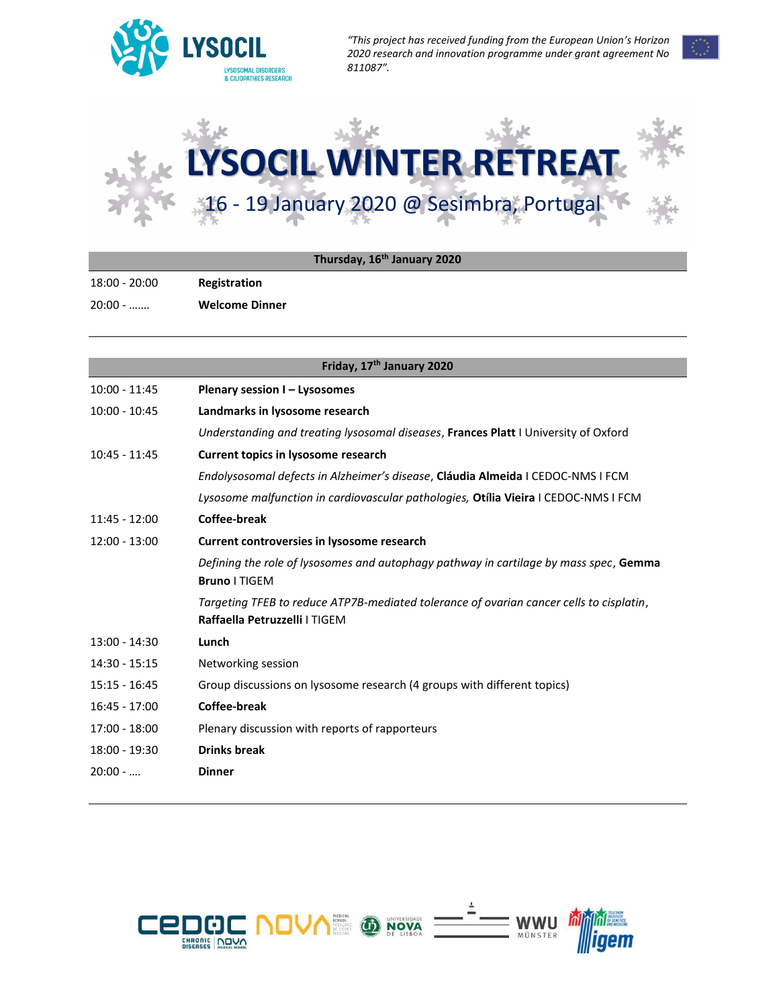

*"This project has received funding from the European Union's Horizon 2020 research and innovation programme under grant agreement No 811087".*



| Thursday, 16 <sup>th</sup> January 2020 |  |  |
|-----------------------------------------|--|--|
|                                         |  |  |

18:00 - 20:00 **Registration** 

20:00 - ……. **Welcome Dinner**

| Friday, 17 <sup>th</sup> January 2020 |                                                                                                                          |  |  |
|---------------------------------------|--------------------------------------------------------------------------------------------------------------------------|--|--|
| $10:00 - 11:45$                       | Plenary session I - Lysosomes                                                                                            |  |  |
| $10:00 - 10:45$                       | Landmarks in lysosome research                                                                                           |  |  |
|                                       | Understanding and treating lysosomal diseases, Frances Platt I University of Oxford                                      |  |  |
| $10:45 - 11:45$                       | <b>Current topics in lysosome research</b>                                                                               |  |  |
|                                       | Endolysosomal defects in Alzheimer's disease, Cláudia Almeida I CEDOC-NMS I FCM                                          |  |  |
|                                       | Lysosome malfunction in cardiovascular pathologies, Otília Vieira I CEDOC-NMS I FCM                                      |  |  |
| $11:45 - 12:00$                       | Coffee-break                                                                                                             |  |  |
| $12:00 - 13:00$                       | Current controversies in lysosome research                                                                               |  |  |
|                                       | Defining the role of lysosomes and autophagy pathway in cartilage by mass spec, Gemma<br><b>Bruno   TIGEM</b>            |  |  |
|                                       | Targeting TFEB to reduce ATP7B-mediated tolerance of ovarian cancer cells to cisplatin,<br>Raffaella Petruzzelli   TIGEM |  |  |
| $13:00 - 14:30$                       | Lunch                                                                                                                    |  |  |
| $14:30 - 15:15$                       | Networking session                                                                                                       |  |  |
| $15:15 - 16:45$                       | Group discussions on lysosome research (4 groups with different topics)                                                  |  |  |
| $16:45 - 17:00$                       | Coffee-break                                                                                                             |  |  |
| $17:00 - 18:00$                       | Plenary discussion with reports of rapporteurs                                                                           |  |  |
| 18:00 - 19:30                         | <b>Drinks break</b>                                                                                                      |  |  |
| $20:00 - $                            | <b>Dinner</b>                                                                                                            |  |  |